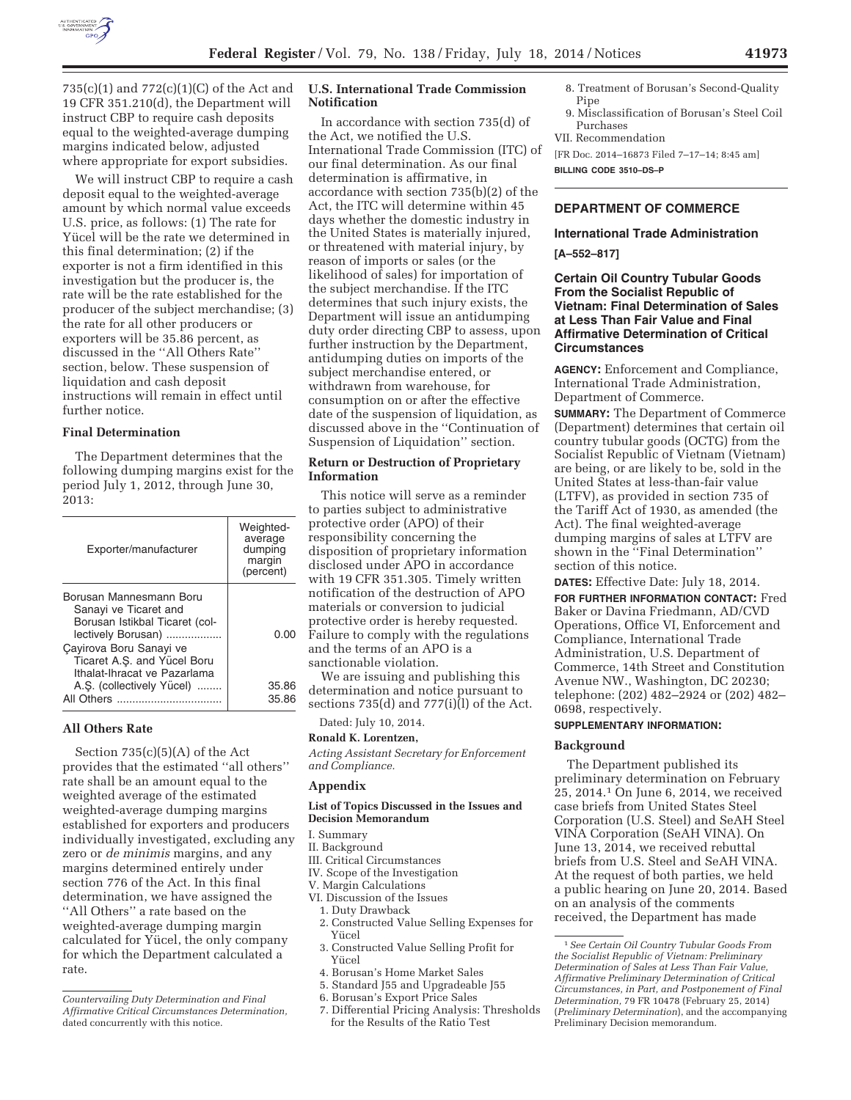

735(c)(1) and 772(c)(1)(C) of the Act and 19 CFR 351.210(d), the Department will instruct CBP to require cash deposits equal to the weighted-average dumping margins indicated below, adjusted where appropriate for export subsidies.

We will instruct CBP to require a cash deposit equal to the weighted-average amount by which normal value exceeds U.S. price, as follows: (1) The rate for Yücel will be the rate we determined in this final determination; (2) if the exporter is not a firm identified in this investigation but the producer is, the rate will be the rate established for the producer of the subject merchandise; (3) the rate for all other producers or exporters will be 35.86 percent, as discussed in the ''All Others Rate'' section, below. These suspension of liquidation and cash deposit instructions will remain in effect until further notice.

### **Final Determination**

The Department determines that the following dumping margins exist for the period July 1, 2012, through June 30, 2013:

| Exporter/manufacturer                                                                                                                                                                              | Weighted-<br>average<br>dumping<br>margin<br>(percent) |
|----------------------------------------------------------------------------------------------------------------------------------------------------------------------------------------------------|--------------------------------------------------------|
| Borusan Mannesmann Boru<br>Sanayi ve Ticaret and<br>Borusan Istikbal Ticaret (col-<br>lectively Borusan)<br>Çayirova Boru Sanayi ve<br>Ticaret A.S. and Yücel Boru<br>Ithalat-Ihracat ve Pazarlama | 0.00                                                   |
| A.S. (collectively Yücel)<br>All Others                                                                                                                                                            | 35.86<br>35.86                                         |

### **All Others Rate**

Section 735(c)(5)(A) of the Act provides that the estimated ''all others'' rate shall be an amount equal to the weighted average of the estimated weighted-average dumping margins established for exporters and producers individually investigated, excluding any zero or *de minimis* margins, and any margins determined entirely under section 776 of the Act. In this final determination, we have assigned the ''All Others'' a rate based on the weighted-average dumping margin calculated for Yücel, the only company for which the Department calculated a rate.

## **U.S. International Trade Commission Notification**

In accordance with section 735(d) of the Act, we notified the U.S. International Trade Commission (ITC) of our final determination. As our final determination is affirmative, in accordance with section 735(b)(2) of the Act, the ITC will determine within 45 days whether the domestic industry in the United States is materially injured, or threatened with material injury, by reason of imports or sales (or the likelihood of sales) for importation of the subject merchandise. If the ITC determines that such injury exists, the Department will issue an antidumping duty order directing CBP to assess, upon further instruction by the Department, antidumping duties on imports of the subject merchandise entered, or withdrawn from warehouse, for consumption on or after the effective date of the suspension of liquidation, as discussed above in the ''Continuation of Suspension of Liquidation'' section.

## **Return or Destruction of Proprietary Information**

This notice will serve as a reminder to parties subject to administrative protective order (APO) of their responsibility concerning the disposition of proprietary information disclosed under APO in accordance with 19 CFR 351.305. Timely written notification of the destruction of APO materials or conversion to judicial protective order is hereby requested. Failure to comply with the regulations and the terms of an APO is a sanctionable violation.

We are issuing and publishing this determination and notice pursuant to sections 735(d) and 777(i)(l) of the Act.

Dated: July 10, 2014.

## **Ronald K. Lorentzen,**

*Acting Assistant Secretary for Enforcement and Compliance.* 

# **Appendix**

### **List of Topics Discussed in the Issues and Decision Memorandum**

I. Summary

II. Background

- III. Critical Circumstances
- IV. Scope of the Investigation
- V. Margin Calculations
- VI. Discussion of the Issues
- 1. Duty Drawback
- 2. Constructed Value Selling Expenses for Yücel
- 3. Constructed Value Selling Profit for Yücel
- 4. Borusan's Home Market Sales
- 5. Standard J55 and Upgradeable J55
- 6. Borusan's Export Price Sales
- 7. Differential Pricing Analysis: Thresholds for the Results of the Ratio Test
- 8. Treatment of Borusan's Second-Quality Pipe
- 9. Misclassification of Borusan's Steel Coil Purchases
- VII. Recommendation

[FR Doc. 2014–16873 Filed 7–17–14; 8:45 am] **BILLING CODE 3510–DS–P** 

## **DEPARTMENT OF COMMERCE**

### **International Trade Administration**

### **[A–552–817]**

## **Certain Oil Country Tubular Goods From the Socialist Republic of Vietnam: Final Determination of Sales at Less Than Fair Value and Final Affirmative Determination of Critical Circumstances**

**AGENCY:** Enforcement and Compliance, International Trade Administration, Department of Commerce.

**SUMMARY:** The Department of Commerce (Department) determines that certain oil country tubular goods (OCTG) from the Socialist Republic of Vietnam (Vietnam) are being, or are likely to be, sold in the United States at less-than-fair value (LTFV), as provided in section 735 of the Tariff Act of 1930, as amended (the Act). The final weighted-average dumping margins of sales at LTFV are shown in the ''Final Determination'' section of this notice.

**DATES:** Effective Date: July 18, 2014. **FOR FURTHER INFORMATION CONTACT:** Fred Baker or Davina Friedmann, AD/CVD Operations, Office VI, Enforcement and Compliance, International Trade Administration, U.S. Department of Commerce, 14th Street and Constitution Avenue NW., Washington, DC 20230; telephone: (202) 482–2924 or (202) 482– 0698, respectively.

## **SUPPLEMENTARY INFORMATION:**

## **Background**

The Department published its preliminary determination on February 25, 2014.1 On June 6, 2014, we received case briefs from United States Steel Corporation (U.S. Steel) and SeAH Steel VINA Corporation (SeAH VINA). On June 13, 2014, we received rebuttal briefs from U.S. Steel and SeAH VINA. At the request of both parties, we held a public hearing on June 20, 2014. Based on an analysis of the comments received, the Department has made

*Countervailing Duty Determination and Final Affirmative Critical Circumstances Determination,*  dated concurrently with this notice.

<sup>1</sup>*See Certain Oil Country Tubular Goods From the Socialist Republic of Vietnam: Preliminary Determination of Sales at Less Than Fair Value, Affirmative Preliminary Determination of Critical Circumstances, in Part, and Postponement of Final Determination,* 79 FR 10478 (February 25, 2014) (*Preliminary Determination*), and the accompanying Preliminary Decision memorandum.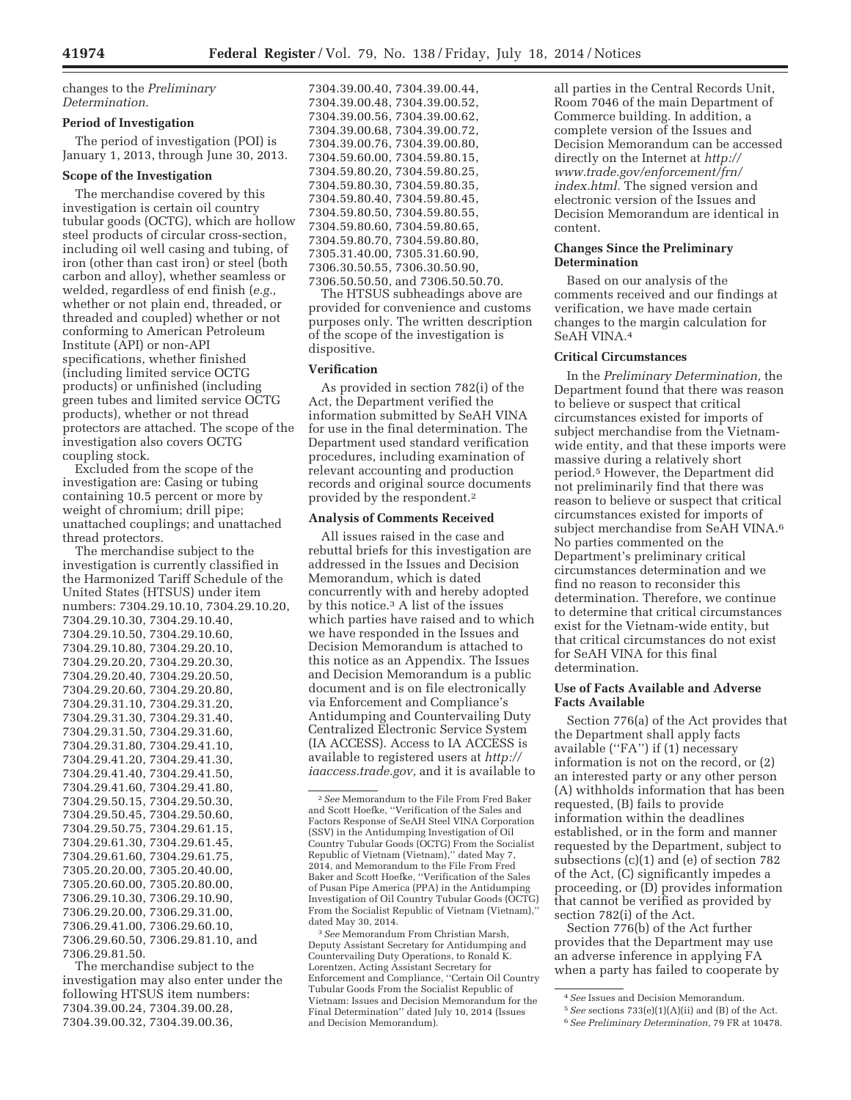changes to the *Preliminary Determination.* 

### **Period of Investigation**

The period of investigation (POI) is January 1, 2013, through June 30, 2013.

## **Scope of the Investigation**

The merchandise covered by this investigation is certain oil country tubular goods (OCTG), which are hollow steel products of circular cross-section, including oil well casing and tubing, of iron (other than cast iron) or steel (both carbon and alloy), whether seamless or welded, regardless of end finish (*e.g.,*  whether or not plain end, threaded, or threaded and coupled) whether or not conforming to American Petroleum Institute (API) or non-API specifications, whether finished (including limited service OCTG products) or unfinished (including green tubes and limited service OCTG products), whether or not thread protectors are attached. The scope of the investigation also covers OCTG coupling stock.

Excluded from the scope of the investigation are: Casing or tubing containing 10.5 percent or more by weight of chromium; drill pipe; unattached couplings; and unattached thread protectors.

The merchandise subject to the investigation is currently classified in the Harmonized Tariff Schedule of the United States (HTSUS) under item numbers: 7304.29.10.10, 7304.29.10.20, 7304.29.10.30, 7304.29.10.40, 7304.29.10.50, 7304.29.10.60, 7304.29.10.80, 7304.29.20.10, 7304.29.20.20, 7304.29.20.30, 7304.29.20.40, 7304.29.20.50, 7304.29.20.60, 7304.29.20.80, 7304.29.31.10, 7304.29.31.20, 7304.29.31.30, 7304.29.31.40, 7304.29.31.50, 7304.29.31.60, 7304.29.31.80, 7304.29.41.10, 7304.29.41.20, 7304.29.41.30, 7304.29.41.40, 7304.29.41.50, 7304.29.41.60, 7304.29.41.80, 7304.29.50.15, 7304.29.50.30, 7304.29.50.45, 7304.29.50.60, 7304.29.50.75, 7304.29.61.15, 7304.29.61.30, 7304.29.61.45, 7304.29.61.60, 7304.29.61.75, 7305.20.20.00, 7305.20.40.00, 7305.20.60.00, 7305.20.80.00, 7306.29.10.30, 7306.29.10.90, 7306.29.20.00, 7306.29.31.00, 7306.29.41.00, 7306.29.60.10, 7306.29.60.50, 7306.29.81.10, and 7306.29.81.50.

The merchandise subject to the investigation may also enter under the following HTSUS item numbers: 7304.39.00.24, 7304.39.00.28, 7304.39.00.32, 7304.39.00.36,

7304.39.00.40, 7304.39.00.44, 7304.39.00.48, 7304.39.00.52, 7304.39.00.56, 7304.39.00.62, 7304.39.00.68, 7304.39.00.72, 7304.39.00.76, 7304.39.00.80, 7304.59.60.00, 7304.59.80.15, 7304.59.80.20, 7304.59.80.25, 7304.59.80.30, 7304.59.80.35, 7304.59.80.40, 7304.59.80.45, 7304.59.80.50, 7304.59.80.55, 7304.59.80.60, 7304.59.80.65, 7304.59.80.70, 7304.59.80.80, 7305.31.40.00, 7305.31.60.90, 7306.30.50.55, 7306.30.50.90, 7306.50.50.50, and 7306.50.50.70.

The HTSUS subheadings above are provided for convenience and customs purposes only. The written description of the scope of the investigation is dispositive.

## **Verification**

As provided in section 782(i) of the Act, the Department verified the information submitted by SeAH VINA for use in the final determination. The Department used standard verification procedures, including examination of relevant accounting and production records and original source documents provided by the respondent.2

### **Analysis of Comments Received**

All issues raised in the case and rebuttal briefs for this investigation are addressed in the Issues and Decision Memorandum, which is dated concurrently with and hereby adopted by this notice.3 A list of the issues which parties have raised and to which we have responded in the Issues and Decision Memorandum is attached to this notice as an Appendix. The Issues and Decision Memorandum is a public document and is on file electronically via Enforcement and Compliance's Antidumping and Countervailing Duty Centralized Electronic Service System (IA ACCESS). Access to IA ACCESS is available to registered users at *http:// iaaccess.trade.gov,* and it is available to

3*See* Memorandum From Christian Marsh, Deputy Assistant Secretary for Antidumping and Countervailing Duty Operations, to Ronald K. Lorentzen, Acting Assistant Secretary for Enforcement and Compliance, ''Certain Oil Country Tubular Goods From the Socialist Republic of Vietnam: Issues and Decision Memorandum for the Final Determination'' dated July 10, 2014 (Issues and Decision Memorandum).

all parties in the Central Records Unit, Room 7046 of the main Department of Commerce building. In addition, a complete version of the Issues and Decision Memorandum can be accessed directly on the Internet at *http:// www.trade.gov/enforcement/frn/ index.html.* The signed version and electronic version of the Issues and Decision Memorandum are identical in content.

### **Changes Since the Preliminary Determination**

Based on our analysis of the comments received and our findings at verification, we have made certain changes to the margin calculation for SeAH VINA.4

# **Critical Circumstances**

In the *Preliminary Determination,* the Department found that there was reason to believe or suspect that critical circumstances existed for imports of subject merchandise from the Vietnamwide entity, and that these imports were massive during a relatively short period.5 However, the Department did not preliminarily find that there was reason to believe or suspect that critical circumstances existed for imports of subject merchandise from SeAH VINA.<sup>6</sup> No parties commented on the Department's preliminary critical circumstances determination and we find no reason to reconsider this determination. Therefore, we continue to determine that critical circumstances exist for the Vietnam-wide entity, but that critical circumstances do not exist for SeAH VINA for this final determination.

### **Use of Facts Available and Adverse Facts Available**

Section 776(a) of the Act provides that the Department shall apply facts available (''FA'') if (1) necessary information is not on the record, or (2) an interested party or any other person (A) withholds information that has been requested, (B) fails to provide information within the deadlines established, or in the form and manner requested by the Department, subject to subsections (c)(1) and (e) of section 782 of the Act, (C) significantly impedes a proceeding, or (D) provides information that cannot be verified as provided by section 782(i) of the Act.

Section 776(b) of the Act further provides that the Department may use an adverse inference in applying FA when a party has failed to cooperate by

<sup>2</sup>*See* Memorandum to the File From Fred Baker and Scott Hoefke, ''Verification of the Sales and Factors Response of SeAH Steel VINA Corporation (SSV) in the Antidumping Investigation of Oil Country Tubular Goods (OCTG) From the Socialist Republic of Vietnam (Vietnam),'' dated May 7, 2014, and Memorandum to the File From Fred Baker and Scott Hoefke, ''Verification of the Sales of Pusan Pipe America (PPA) in the Antidumping Investigation of Oil Country Tubular Goods (OCTG) From the Socialist Republic of Vietnam (Vietnam),'' dated May 30, 2014.

<sup>4</sup>*See* Issues and Decision Memorandum. 5*See* sections 733(e)(1)(A)(ii) and (B) of the Act.

<sup>6</sup>*See Preliminary Determination,* 79 FR at 10478.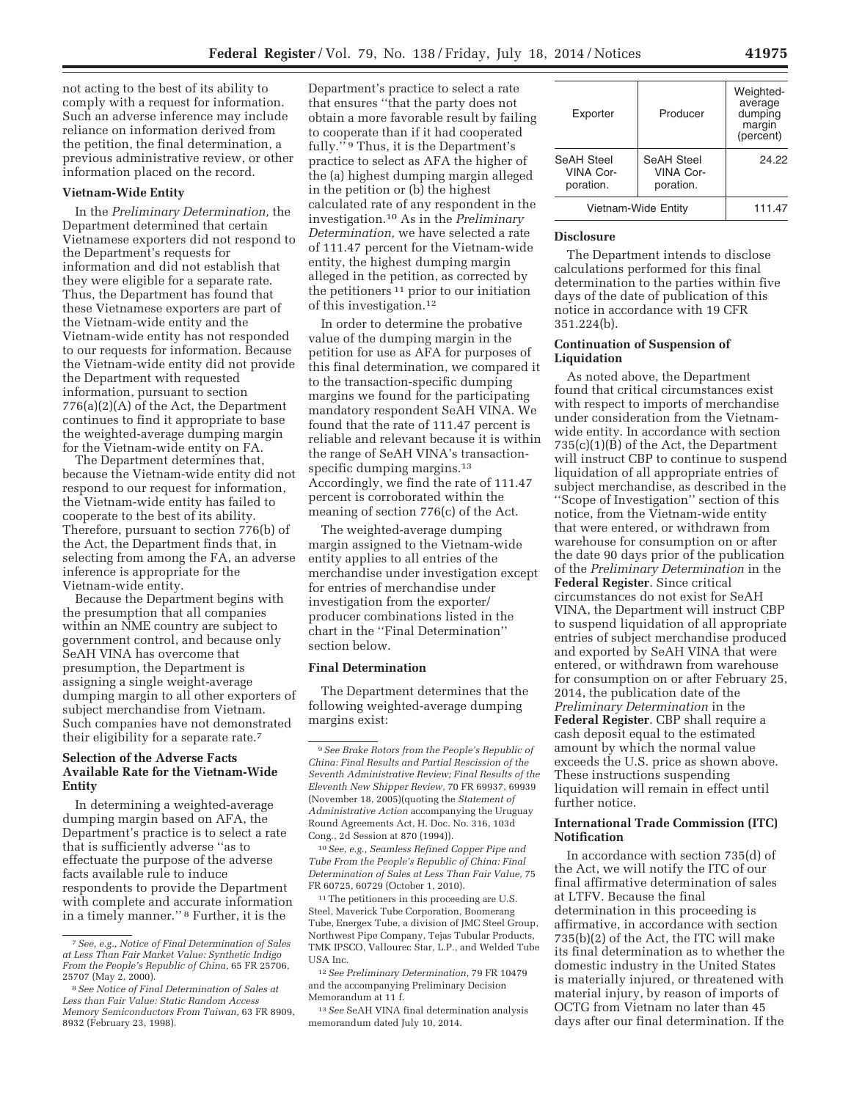not acting to the best of its ability to comply with a request for information. Such an adverse inference may include reliance on information derived from the petition, the final determination, a previous administrative review, or other information placed on the record.

#### **Vietnam-Wide Entity**

In the *Preliminary Determination,* the Department determined that certain Vietnamese exporters did not respond to the Department's requests for information and did not establish that they were eligible for a separate rate. Thus, the Department has found that these Vietnamese exporters are part of the Vietnam-wide entity and the Vietnam-wide entity has not responded to our requests for information. Because the Vietnam-wide entity did not provide the Department with requested information, pursuant to section 776(a)(2)(A) of the Act, the Department continues to find it appropriate to base the weighted-average dumping margin for the Vietnam-wide entity on FA.

The Department determines that, because the Vietnam-wide entity did not respond to our request for information, the Vietnam-wide entity has failed to cooperate to the best of its ability. Therefore, pursuant to section 776(b) of the Act, the Department finds that, in selecting from among the FA, an adverse inference is appropriate for the Vietnam-wide entity.

Because the Department begins with the presumption that all companies within an NME country are subject to government control, and because only SeAH VINA has overcome that presumption, the Department is assigning a single weight-average dumping margin to all other exporters of subject merchandise from Vietnam. Such companies have not demonstrated their eligibility for a separate rate.7

# **Selection of the Adverse Facts Available Rate for the Vietnam-Wide Entity**

In determining a weighted-average dumping margin based on AFA, the Department's practice is to select a rate that is sufficiently adverse ''as to effectuate the purpose of the adverse facts available rule to induce respondents to provide the Department with complete and accurate information in a timely manner.'' 8 Further, it is the

Department's practice to select a rate that ensures ''that the party does not obtain a more favorable result by failing to cooperate than if it had cooperated fully.'' 9 Thus, it is the Department's practice to select as AFA the higher of the (a) highest dumping margin alleged in the petition or (b) the highest calculated rate of any respondent in the investigation.10 As in the *Preliminary Determination,* we have selected a rate of 111.47 percent for the Vietnam-wide entity, the highest dumping margin alleged in the petition, as corrected by the petitioners 11 prior to our initiation of this investigation.12

In order to determine the probative value of the dumping margin in the petition for use as AFA for purposes of this final determination, we compared it to the transaction-specific dumping margins we found for the participating mandatory respondent SeAH VINA. We found that the rate of 111.47 percent is reliable and relevant because it is within the range of SeAH VINA's transactionspecific dumping margins.<sup>13</sup> Accordingly, we find the rate of 111.47 percent is corroborated within the meaning of section 776(c) of the Act.

The weighted-average dumping margin assigned to the Vietnam-wide entity applies to all entries of the merchandise under investigation except for entries of merchandise under investigation from the exporter/ producer combinations listed in the chart in the ''Final Determination'' section below.

### **Final Determination**

The Department determines that the following weighted-average dumping margins exist:

10*See, e.g., Seamless Refined Copper Pipe and Tube From the People's Republic of China: Final Determination of Sales at Less Than Fair Value,* 75 FR 60725, 60729 (October 1, 2010).

 $^{\rm 11}\!$  The petitioners in this proceeding are U.S. Steel, Maverick Tube Corporation, Boomerang Tube, Energex Tube, a division of JMC Steel Group, Northwest Pipe Company, Tejas Tubular Products, TMK IPSCO, Vallourec Star, L.P., and Welded Tube USA Inc.

12*See Preliminary Determination,* 79 FR 10479 and the accompanying Preliminary Decision Memorandum at 11 f.

13*See* SeAH VINA final determination analysis memorandum dated July 10, 2014.

| Exporter                                    | Producer                                           | Weighted-<br>average<br>dumping<br>margin<br>(percent) |
|---------------------------------------------|----------------------------------------------------|--------------------------------------------------------|
| SeAH Steel<br><b>VINA Cor-</b><br>poration. | <b>SeAH Steel</b><br><b>VINA Cor-</b><br>poration. | 24.22                                                  |
| Vietnam-Wide Entity                         |                                                    | 111.47                                                 |

#### **Disclosure**

The Department intends to disclose calculations performed for this final determination to the parties within five days of the date of publication of this notice in accordance with 19 CFR 351.224(b).

### **Continuation of Suspension of Liquidation**

As noted above, the Department found that critical circumstances exist with respect to imports of merchandise under consideration from the Vietnamwide entity. In accordance with section 735(c)(1)(B) of the Act, the Department will instruct CBP to continue to suspend liquidation of all appropriate entries of subject merchandise, as described in the ''Scope of Investigation'' section of this notice, from the Vietnam-wide entity that were entered, or withdrawn from warehouse for consumption on or after the date 90 days prior of the publication of the *Preliminary Determination* in the **Federal Register**. Since critical circumstances do not exist for SeAH VINA, the Department will instruct CBP to suspend liquidation of all appropriate entries of subject merchandise produced and exported by SeAH VINA that were entered, or withdrawn from warehouse for consumption on or after February 25, 2014, the publication date of the *Preliminary Determination* in the **Federal Register**. CBP shall require a cash deposit equal to the estimated amount by which the normal value exceeds the U.S. price as shown above. These instructions suspending liquidation will remain in effect until further notice.

## **International Trade Commission (ITC) Notification**

In accordance with section 735(d) of the Act, we will notify the ITC of our final affirmative determination of sales at LTFV. Because the final determination in this proceeding is affirmative, in accordance with section 735(b)(2) of the Act, the ITC will make its final determination as to whether the domestic industry in the United States is materially injured, or threatened with material injury, by reason of imports of OCTG from Vietnam no later than 45 days after our final determination. If the

<sup>7</sup>*See, e.g., Notice of Final Determination of Sales at Less Than Fair Market Value: Synthetic Indigo From the People's Republic of China,* 65 FR 25706, 25707 (May 2, 2000).

<sup>8</sup>*See Notice of Final Determination of Sales at Less than Fair Value: Static Random Access Memory Semiconductors From Taiwan,* 63 FR 8909, 8932 (February 23, 1998).

<sup>9</sup>*See Brake Rotors from the People's Republic of China: Final Results and Partial Rescission of the Seventh Administrative Review; Final Results of the Eleventh New Shipper Review,* 70 FR 69937, 69939 (November 18, 2005)(quoting the *Statement of Administrative Action* accompanying the Uruguay Round Agreements Act, H. Doc. No. 316, 103d Cong., 2d Session at 870 (1994)).